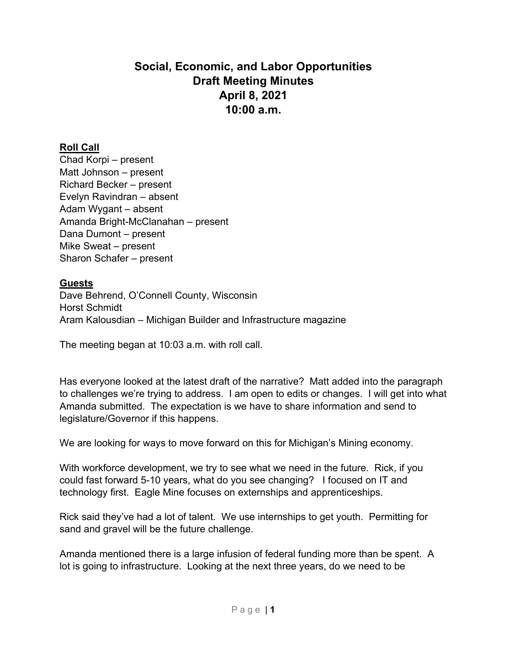# **Social, Economic, and Labor Opportunities Draft Meeting Minutes April 8, 2021 10:00 a.m.**

## **Roll Call**

Chad Korpi – present Matt Johnson – present Richard Becker – present Evelyn Ravindran – absent Adam Wygant – absent Amanda Bright-McClanahan – present Dana Dumont – present Mike Sweat – present Sharon Schafer – present

### **Guests**

Dave Behrend, O'Connell County, Wisconsin Horst Schmidt Aram Kalousdian – Michigan Builder and Infrastructure magazine

The meeting began at 10:03 a.m. with roll call.

Has everyone looked at the latest draft of the narrative? Matt added into the paragraph to challenges we're trying to address. I am open to edits or changes. I will get into what Amanda submitted. The expectation is we have to share information and send to legislature/Governor if this happens.

We are looking for ways to move forward on this for Michigan's Mining economy.

With workforce development, we try to see what we need in the future. Rick, if you could fast forward 5-10 years, what do you see changing? I focused on IT and technology first. Eagle Mine focuses on externships and apprenticeships.

Rick said they've had a lot of talent. We use internships to get youth. Permitting for sand and gravel will be the future challenge.

Amanda mentioned there is a large infusion of federal funding more than be spent. A lot is going to infrastructure. Looking at the next three years, do we need to be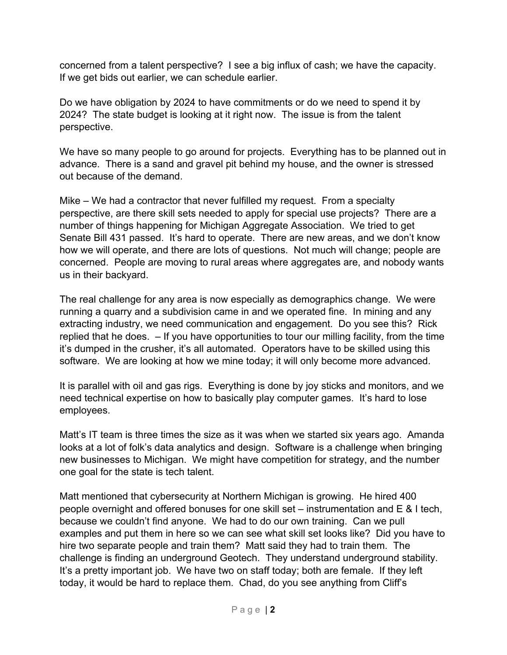concerned from a talent perspective? I see a big influx of cash; we have the capacity. If we get bids out earlier, we can schedule earlier.

Do we have obligation by 2024 to have commitments or do we need to spend it by 2024? The state budget is looking at it right now. The issue is from the talent perspective.

We have so many people to go around for projects. Everything has to be planned out in advance. There is a sand and gravel pit behind my house, and the owner is stressed out because of the demand.

Mike – We had a contractor that never fulfilled my request. From a specialty perspective, are there skill sets needed to apply for special use projects? There are a number of things happening for Michigan Aggregate Association. We tried to get Senate Bill 431 passed. It's hard to operate. There are new areas, and we don't know how we will operate, and there are lots of questions. Not much will change; people are concerned. People are moving to rural areas where aggregates are, and nobody wants us in their backyard.

The real challenge for any area is now especially as demographics change. We were running a quarry and a subdivision came in and we operated fine. In mining and any extracting industry, we need communication and engagement. Do you see this? Rick replied that he does. – If you have opportunities to tour our milling facility, from the time it's dumped in the crusher, it's all automated. Operators have to be skilled using this software. We are looking at how we mine today; it will only become more advanced.

It is parallel with oil and gas rigs. Everything is done by joy sticks and monitors, and we need technical expertise on how to basically play computer games. It's hard to lose employees.

Matt's IT team is three times the size as it was when we started six years ago. Amanda looks at a lot of folk's data analytics and design. Software is a challenge when bringing new businesses to Michigan. We might have competition for strategy, and the number one goal for the state is tech talent.

Matt mentioned that cybersecurity at Northern Michigan is growing. He hired 400 people overnight and offered bonuses for one skill set – instrumentation and E & I tech, because we couldn't find anyone. We had to do our own training. Can we pull examples and put them in here so we can see what skill set looks like? Did you have to hire two separate people and train them? Matt said they had to train them. The challenge is finding an underground Geotech. They understand underground stability. It's a pretty important job. We have two on staff today; both are female. If they left today, it would be hard to replace them. Chad, do you see anything from Cliff's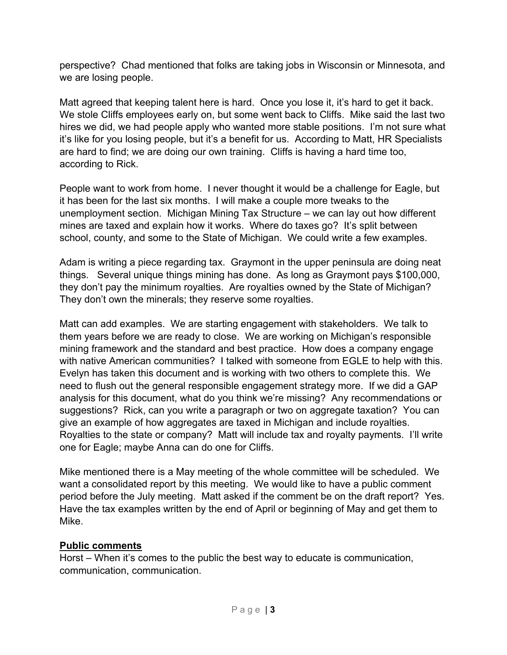perspective? Chad mentioned that folks are taking jobs in Wisconsin or Minnesota, and we are losing people.

Matt agreed that keeping talent here is hard. Once you lose it, it's hard to get it back. We stole Cliffs employees early on, but some went back to Cliffs. Mike said the last two hires we did, we had people apply who wanted more stable positions. I'm not sure what it's like for you losing people, but it's a benefit for us. According to Matt, HR Specialists are hard to find; we are doing our own training. Cliffs is having a hard time too, according to Rick.

People want to work from home. I never thought it would be a challenge for Eagle, but it has been for the last six months. I will make a couple more tweaks to the unemployment section. Michigan Mining Tax Structure – we can lay out how different mines are taxed and explain how it works. Where do taxes go? It's split between school, county, and some to the State of Michigan. We could write a few examples.

Adam is writing a piece regarding tax. Graymont in the upper peninsula are doing neat things. Several unique things mining has done. As long as Graymont pays \$100,000, they don't pay the minimum royalties. Are royalties owned by the State of Michigan? They don't own the minerals; they reserve some royalties.

Matt can add examples. We are starting engagement with stakeholders. We talk to them years before we are ready to close. We are working on Michigan's responsible mining framework and the standard and best practice. How does a company engage with native American communities? I talked with someone from EGLE to help with this. Evelyn has taken this document and is working with two others to complete this. We need to flush out the general responsible engagement strategy more. If we did a GAP analysis for this document, what do you think we're missing? Any recommendations or suggestions? Rick, can you write a paragraph or two on aggregate taxation? You can give an example of how aggregates are taxed in Michigan and include royalties. Royalties to the state or company? Matt will include tax and royalty payments. I'll write one for Eagle; maybe Anna can do one for Cliffs.

Mike mentioned there is a May meeting of the whole committee will be scheduled. We want a consolidated report by this meeting. We would like to have a public comment period before the July meeting. Matt asked if the comment be on the draft report? Yes. Have the tax examples written by the end of April or beginning of May and get them to Mike.

#### **Public comments**

Horst – When it's comes to the public the best way to educate is communication, communication, communication.